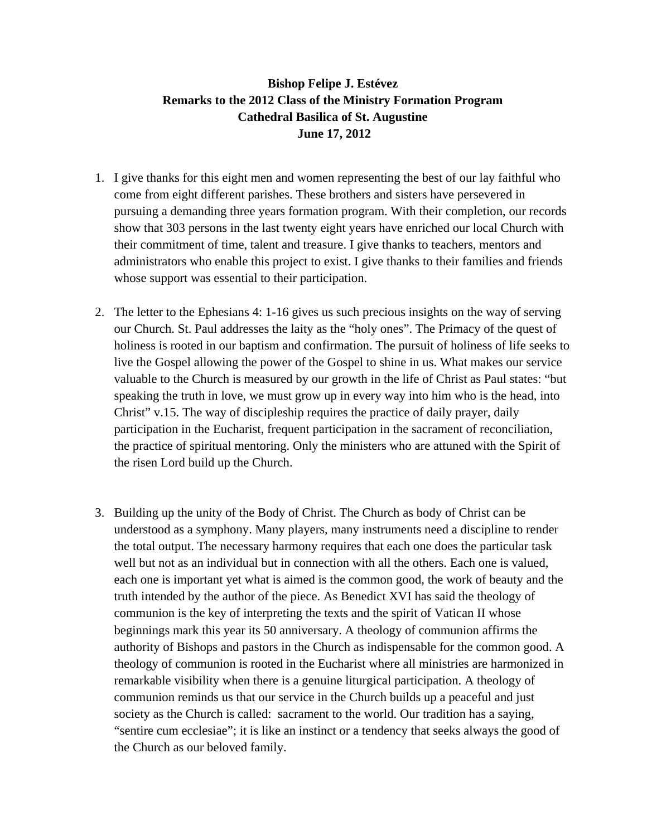## **Bishop Felipe J. Estévez Remarks to the 2012 Class of the Ministry Formation Program Cathedral Basilica of St. Augustine June 17, 2012**

- 1. I give thanks for this eight men and women representing the best of our lay faithful who come from eight different parishes. These brothers and sisters have persevered in pursuing a demanding three years formation program. With their completion, our records show that 303 persons in the last twenty eight years have enriched our local Church with their commitment of time, talent and treasure. I give thanks to teachers, mentors and administrators who enable this project to exist. I give thanks to their families and friends whose support was essential to their participation.
- 2. The letter to the Ephesians 4: 1-16 gives us such precious insights on the way of serving our Church. St. Paul addresses the laity as the "holy ones". The Primacy of the quest of holiness is rooted in our baptism and confirmation. The pursuit of holiness of life seeks to live the Gospel allowing the power of the Gospel to shine in us. What makes our service valuable to the Church is measured by our growth in the life of Christ as Paul states: "but speaking the truth in love, we must grow up in every way into him who is the head, into Christ" v.15. The way of discipleship requires the practice of daily prayer, daily participation in the Eucharist, frequent participation in the sacrament of reconciliation, the practice of spiritual mentoring. Only the ministers who are attuned with the Spirit of the risen Lord build up the Church.
- 3. Building up the unity of the Body of Christ. The Church as body of Christ can be understood as a symphony. Many players, many instruments need a discipline to render the total output. The necessary harmony requires that each one does the particular task well but not as an individual but in connection with all the others. Each one is valued, each one is important yet what is aimed is the common good, the work of beauty and the truth intended by the author of the piece. As Benedict XVI has said the theology of communion is the key of interpreting the texts and the spirit of Vatican II whose beginnings mark this year its 50 anniversary. A theology of communion affirms the authority of Bishops and pastors in the Church as indispensable for the common good. A theology of communion is rooted in the Eucharist where all ministries are harmonized in remarkable visibility when there is a genuine liturgical participation. A theology of communion reminds us that our service in the Church builds up a peaceful and just society as the Church is called: sacrament to the world. Our tradition has a saying, "sentire cum ecclesiae"; it is like an instinct or a tendency that seeks always the good of the Church as our beloved family.